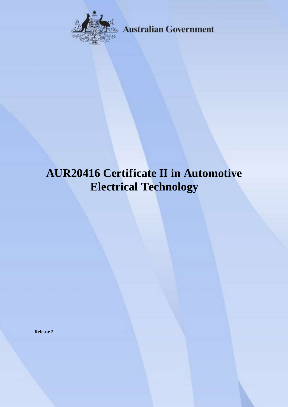

**Australian Government** 

# **AUR20416 Certificate II in Automotive Electrical Technology**

**Release 2**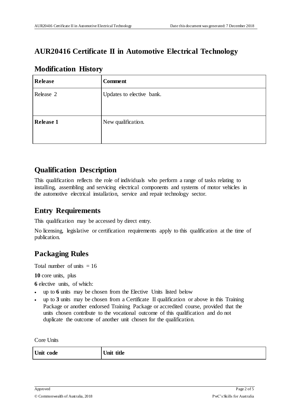## **AUR20416 Certificate II in Automotive Electrical Technology**

| <b>Release</b>   | <b>Comment</b>            |
|------------------|---------------------------|
| Release 2        | Updates to elective bank. |
| <b>Release 1</b> | New qualification.        |

#### **Modification History**

### **Qualification Description**

This qualification reflects the role of individuals who perform a range of tasks relating to installing, assembling and servicing electrical components and systems of motor vehicles in the automotive electrical installation, service and repair technology sector.

### **Entry Requirements**

This qualification may be accessed by direct entry.

No licensing, legislative or certification requirements apply to this qualification at the time of publication.

## **Packaging Rules**

Total number of units  $= 16$ 

**10** core units, plus

**6** elective units, of which:

- up to **6** units may be chosen from the Elective Units listed below
- up to **3** units may be chosen from a Certificate II qualification or above in this Training Package or another endorsed Training Package or accredited course, provided that the units chosen contribute to the vocational outcome of this qualification and do not duplicate the outcome of another unit chosen for the qualification.

Core Units

| Unit code | Unit title |
|-----------|------------|
|-----------|------------|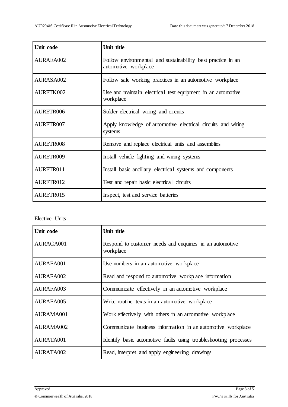| Unit code | Unit title                                                                          |
|-----------|-------------------------------------------------------------------------------------|
| AURAEA002 | Follow environmental and sustainability best practice in an<br>automotive workplace |
| AURASA002 | Follow safe working practices in an automotive workplace                            |
| AURETK002 | Use and maintain electrical test equipment in an automotive<br>workplace            |
| AURETR006 | Solder electrical wiring and circuits                                               |
| AURETR007 | Apply knowledge of automotive electrical circuits and wiring<br>systems             |
| AURETR008 | Remove and replace electrical units and assemblies                                  |
| AURETR009 | Install vehicle lighting and wiring systems                                         |
| AURETR011 | Install basic ancillary electrical systems and components                           |
| AURETR012 | Test and repair basic electrical circuits                                           |
| AURETR015 | Inspect, test and service batteries                                                 |

Elective Units

| Unit code | Unit title                                                            |
|-----------|-----------------------------------------------------------------------|
| AURACA001 | Respond to customer needs and enquiries in an automotive<br>workplace |
| AURAFA001 | Use numbers in an automotive workplace                                |
| AURAFA002 | Read and respond to automotive workplace information                  |
| AURAFA003 | Communicate effectively in an automotive workplace                    |
| AURAFA005 | Write routine texts in an automotive workplace                        |
| AURAMA001 | Work effectively with others in an automotive workplace               |
| AURAMA002 | Communicate business information in an automotive workplace           |
| AURATA001 | Identify basic automotive faults using troubleshooting processes      |
| AURATA002 | Read, interpret and apply engineering drawings                        |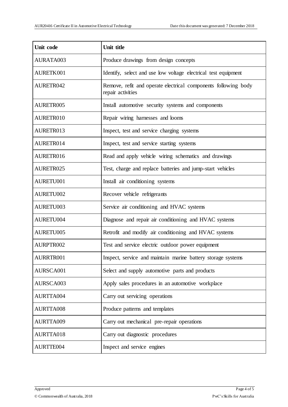| Unit code        | Unit title                                                                          |
|------------------|-------------------------------------------------------------------------------------|
| AURATA003        | Produce drawings from design concepts                                               |
| AURETK001        | Identify, select and use low voltage electrical test equipment                      |
| AURETR042        | Remove, refit and operate electrical components following body<br>repair activities |
| AURETR005        | Install automotive security systems and components                                  |
| AURETR010        | Repair wiring harnesses and looms                                                   |
| AURETR013        | Inspect, test and service charging systems                                          |
| AURETR014        | Inspect, test and service starting systems                                          |
| AURETR016        | Read and apply vehicle wiring schematics and drawings                               |
| AURETR025        | Test, charge and replace batteries and jump-start vehicles                          |
| AURETU001        | Install air conditioning systems                                                    |
| AURETU002        | Recover vehicle refrigerants                                                        |
| AURETU003        | Service air conditioning and HVAC systems                                           |
| AURETU004        | Diagnose and repair air conditioning and HVAC systems                               |
| AURETU005        | Retrofit and modify air conditioning and HVAC systems                               |
| <b>AURPTR002</b> | Test and service electric outdoor power equipment                                   |
| AURRTR001        | Inspect, service and maintain marine battery storage systems                        |
| AURSCA001        | Select and supply automotive parts and products                                     |
| AURSCA003        | Apply sales procedures in an automotive workplace                                   |
| AURTTA004        | Carry out servicing operations                                                      |
| AURTTA008        | Produce patterns and templates                                                      |
| AURTTA009        | Carry out mechanical pre-repair operations                                          |
| AURTTA018        | Carry out diagnostic procedures                                                     |
| AURTTE004        | Inspect and service engines                                                         |